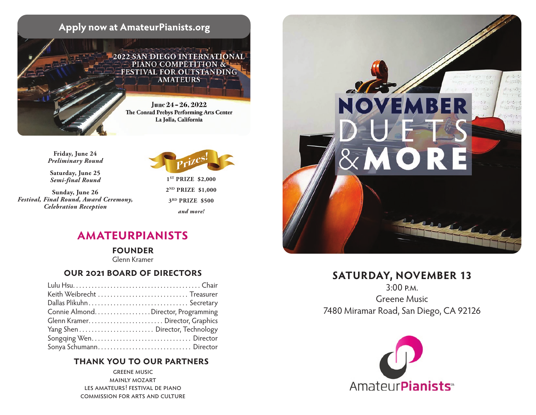

**Friday, June 24** *Preliminary Round*

**Saturday, June 25** *Semi-final Round*

**Sunday, June 26** *Festival, Final Round, Award Ceremony, Celebration Reception*



**1ST PRIZE \$2,000 2ND PRIZE \$1,000 3RD PRIZE \$500** *and more!*

# **amateurpianists**

**founder** 

Glenn Kramer

### **our 2021 board of directors**

| Keith Weibrecht  Treasurer           |  |
|--------------------------------------|--|
|                                      |  |
| Connie Almond. Director, Programming |  |
| Glenn Kramer Director, Graphics      |  |
|                                      |  |
|                                      |  |
| Sonya Schumann Director              |  |

### **thank you to our partners**

greene music mainly mozart les amateurs! festival de piano commission for arts and culture



# **SATURDAY, NOVEMBER 13**

3:00 p.m. Greene Music 7480 Miramar Road, San Diego, CA 92126